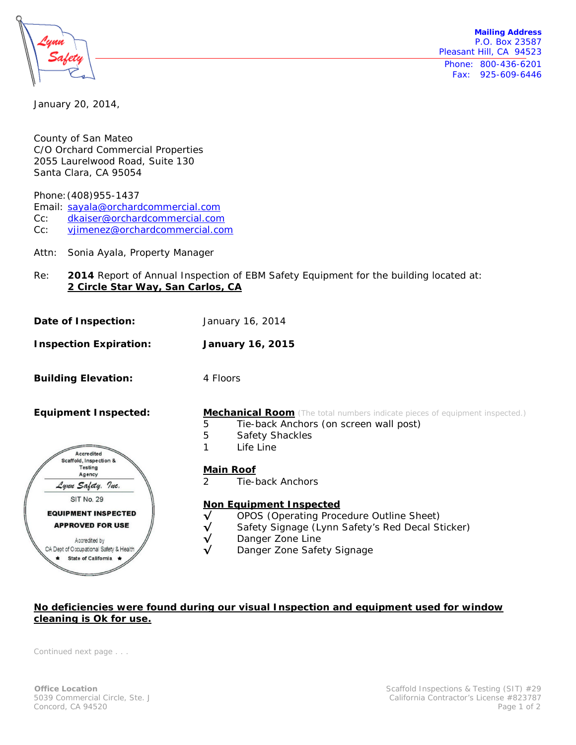

**Mailing Address** P.O. Box 23587 Pleasant Hill, CA 94523 Phone: 800-436-6201 Fax: 925-609-6446

January 20, 2014,

County of San Mateo C/O Orchard Commercial Properties 2055 Laurelwood Road, Suite 130 Santa Clara, CA 95054

Phone:(408)955-1437

Email: [sayala@orchardcommercial.com](mailto:sayala@orchardcommercial.com)

Cc: [dkaiser@orchardcommercial.com](mailto:dkaiser@orchardcommercial.com)

Cc: [vjimenez@orchardcommercial.com](mailto:vjimenez@orchardcommercial.com)

- Attn: Sonia Ayala, Property Manager
- Re: **2014** Report of Annual Inspection of EBM Safety Equipment for the building located at: **2 Circle Star Way, San Carlos, CA**
- **Date of Inspection:** January 16, 2014
- **Inspection Expiration: January 16, 2015**

**Building Elevation:** 4 Floors



### **Equipment Inspected: Mechanical Room** (The total numbers indicate pieces of equipment inspected.)

- 5 Tie-back Anchors (on screen wall post)<br>5 Safety Shackles
- 5 Safety Shackles
- 1 Life Line

#### **Main Roof**

2 Tie-back Anchors

#### **Non Equipment Inspected**

- **√** OPOS (Operating Procedure Outline Sheet)
- **√** Safety Signage (Lynn Safety's Red Decal Sticker)
- **√** Danger Zone Line
- Danger Zone Safety Signage

# **No deficiencies were found during our visual Inspection and equipment used for window cleaning is Ok for use.**

*Continued next page . . .*